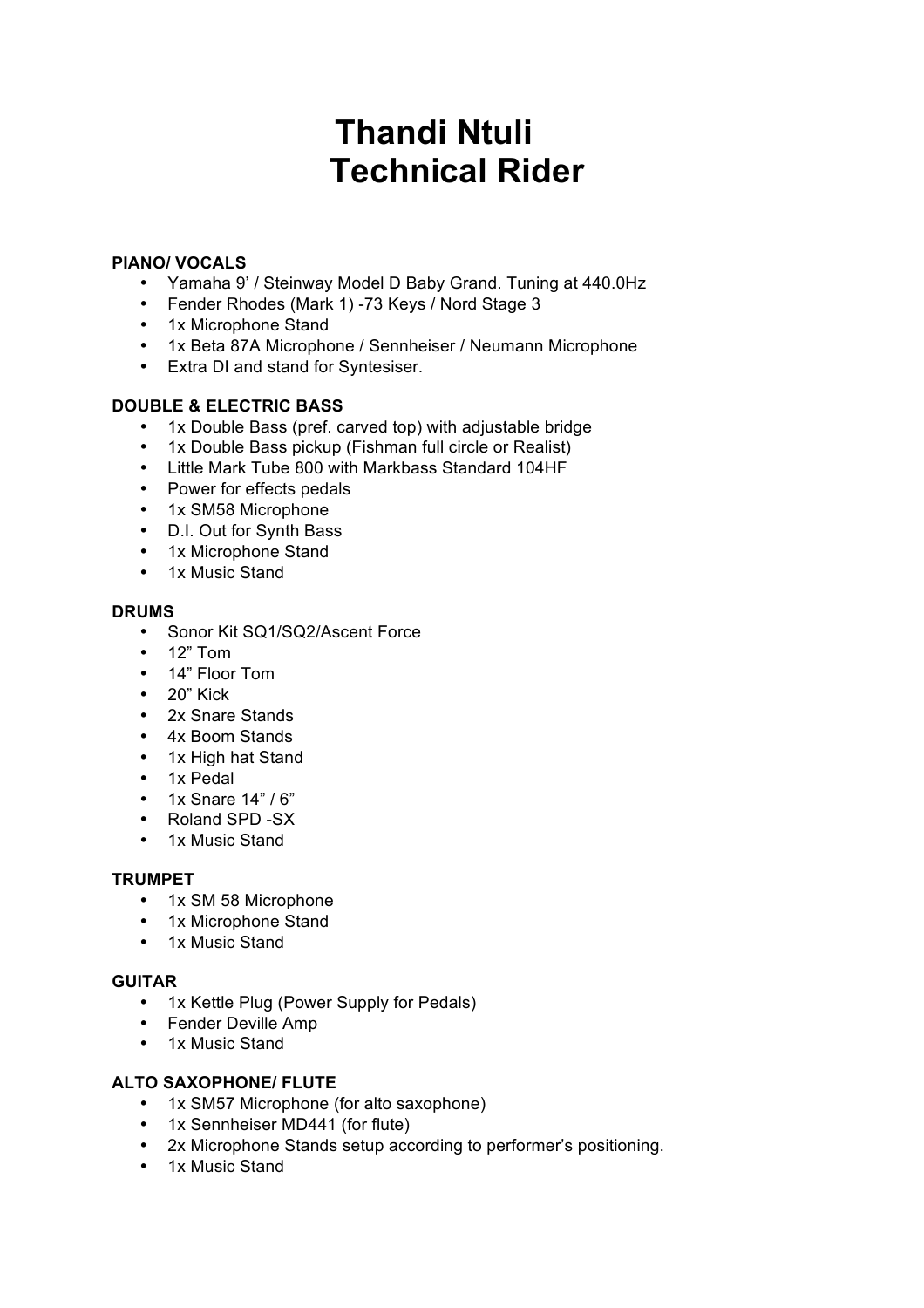# **Thandi Ntuli Technical Rider**

## **PIANO/ VOCALS**

- Yamaha 9' / Steinway Model D Baby Grand. Tuning at 440.0Hz
- Fender Rhodes (Mark 1) -73 Keys / Nord Stage 3
- 1x Microphone Stand
- 1x Beta 87A Microphone / Sennheiser / Neumann Microphone
- Extra DI and stand for Syntesiser.

## **DOUBLE & ELECTRIC BASS**

- 1x Double Bass (pref. carved top) with adjustable bridge
- 1x Double Bass pickup (Fishman full circle or Realist)
- Little Mark Tube 800 with Markbass Standard 104HF
- Power for effects pedals
- 1x SM58 Microphone
- D.I. Out for Synth Bass
- 1x Microphone Stand
- 1x Music Stand

#### **DRUMS**

- Sonor Kit SQ1/SQ2/Ascent Force
- 12" Tom
- 14" Floor Tom
- 20" Kick
- 2x Snare Stands
- 4x Boom Stands
- 1x High hat Stand
- 1x Pedal
- 1x Snare 14" / 6"
- Roland SPD -SX
- 1x Music Stand

#### **TRUMPET**

- 1x SM 58 Microphone
- 1x Microphone Stand
- 1x Music Stand

#### **GUITAR**

- 1x Kettle Plug (Power Supply for Pedals)
- Fender Deville Amp
- 1x Music Stand

# **ALTO SAXOPHONE/ FLUTE**

- 1x SM57 Microphone (for alto saxophone)
- 1x Sennheiser MD441 (for flute)
- 2x Microphone Stands setup according to performer's positioning.
- 1x Music Stand